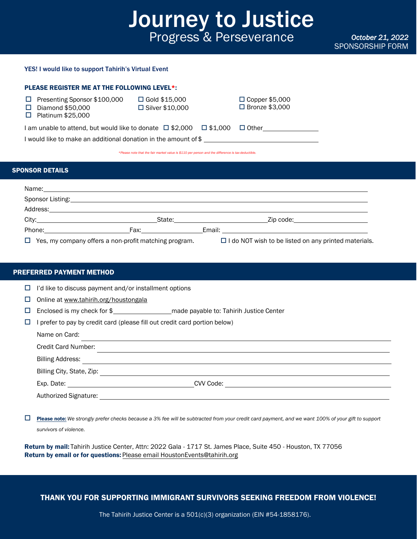# Journey to Justice Progress & Perseverance

*October 21, 2022* SPONSORSHIP FORM

## YES! I would like to support Tahirih's Virtual Event

| <b>PLEASE REGISTER ME AT THE FOLLOWING LEVEL*:</b>                                            |                                           |                                           |  |  |
|-----------------------------------------------------------------------------------------------|-------------------------------------------|-------------------------------------------|--|--|
| Presenting Sponsor \$100,000<br>⊔<br>Diamond \$50,000<br>Platinum \$25,000                    | $\Box$ Gold \$15,000<br>□ Silver \$10,000 | $\Box$ Copper \$5,000<br>□ Bronze \$3,000 |  |  |
| I am unable to attend, but would like to donate $\Box$ \$2,000 $\Box$ \$1,000<br>$\Box$ Other |                                           |                                           |  |  |
| I would like to make an additional donation in the amount of \$                               |                                           |                                           |  |  |
|                                                                                               |                                           |                                           |  |  |

*\*Please note that the fair market value is \$110 per person and the difference is tax-deductible.*

## SPONSOR DETAILS

|                                                                                                                                                                                                                                | Name: Name: Name: Name: Name: Name: Name: Name: Name: Name: Name: Name: Name: Name: Name: Name: Name: Name: Name: Name: Name: Name: Name: Name: Name: Name: Name: Name: Name: Name: Name: Name: Name: Name: Name: Name: Name:  |
|--------------------------------------------------------------------------------------------------------------------------------------------------------------------------------------------------------------------------------|--------------------------------------------------------------------------------------------------------------------------------------------------------------------------------------------------------------------------------|
| Sponsor Listing: North Contract of the Contract of the Contract of the Contract of the Contract of the Contract of the Contract of the Contract of the Contract of the Contract of the Contract of the Contract of the Contrac |                                                                                                                                                                                                                                |
|                                                                                                                                                                                                                                | Address: experience and the contract of the contract of the contract of the contract of the contract of the contract of the contract of the contract of the contract of the contract of the contract of the contract of the co |
|                                                                                                                                                                                                                                |                                                                                                                                                                                                                                |
|                                                                                                                                                                                                                                |                                                                                                                                                                                                                                |
| $\Box$ Yes, my company offers a non-profit matching program.                                                                                                                                                                   | □ I do NOT wish to be listed on any printed materials.                                                                                                                                                                         |

# PREFERRED PAYMENT METHOD

|  | $\Box$ I'd like to discuss payment and/or installment options |  |  |  |  |
|--|---------------------------------------------------------------|--|--|--|--|
|--|---------------------------------------------------------------|--|--|--|--|

□ Online at [www.tahirih.org/houstongala](http://www.tahirih.org/houstongala)

- Enclosed is my check for \$ made payable to: Tahirih Justice Center
- $\Box$  I prefer to pay by credit card (please fill out credit card portion below)

| Name on Card:             |           |  |
|---------------------------|-----------|--|
| Credit Card Number:       |           |  |
| <b>Billing Address:</b>   |           |  |
| Billing City, State, Zip: |           |  |
|                           | CVV Code: |  |
| Authorized Signature:     |           |  |

 Please note: *We strongly prefer checks because a 3% fee will be subtracted from your credit card payment, and we want 100% of your gift to support survivors of violence.*

Return by mail: Tahirih Justice Center, Attn: 2022 Gala - 1717 St. James Place, Suite 450 - Houston, TX 77056 Return by email or for questions: Please email HoustonEvents@tahirih.org

THANK YOU FOR SUPPORTING IMMIGRANT SURVIVORS SEEKING FREEDOM FROM VIOLENCE!